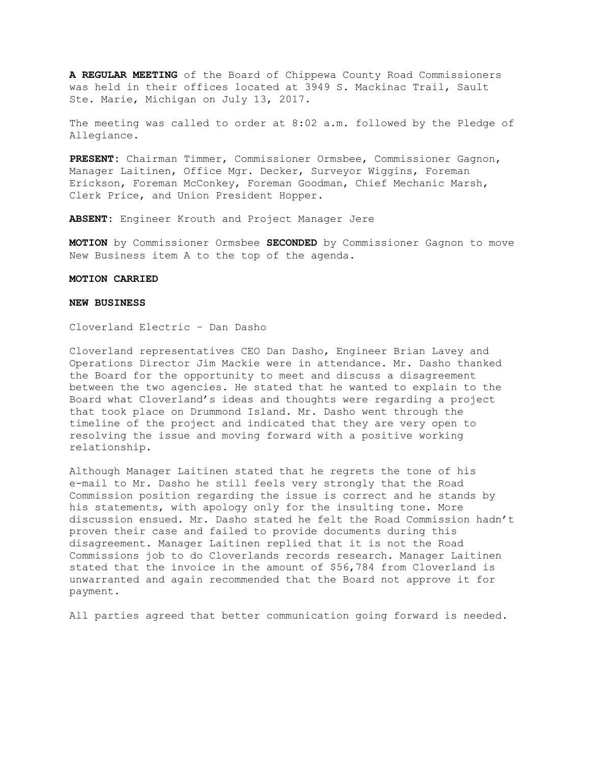**A REGULAR MEETING** of the Board of Chippewa County Road Commissioners was held in their offices located at 3949 S. Mackinac Trail, Sault Ste. Marie, Michigan on July 13, 2017.

The meeting was called to order at 8:02 a.m. followed by the Pledge of Allegiance.

**PRESENT:** Chairman Timmer, Commissioner Ormsbee, Commissioner Gagnon, Manager Laitinen, Office Mgr. Decker, Surveyor Wiggins, Foreman Erickson, Foreman McConkey, Foreman Goodman, Chief Mechanic Marsh, Clerk Price, and Union President Hopper.

**ABSENT:** Engineer Krouth and Project Manager Jere

**MOTION** by Commissioner Ormsbee **SECONDED** by Commissioner Gagnon to move New Business item A to the top of the agenda.

## **MOTION CARRIED**

### **NEW BUSINESS**

Cloverland Electric – Dan Dasho

Cloverland representatives CEO Dan Dasho, Engineer Brian Lavey and Operations Director Jim Mackie were in attendance. Mr. Dasho thanked the Board for the opportunity to meet and discuss a disagreement between the two agencies. He stated that he wanted to explain to the Board what Cloverland's ideas and thoughts were regarding a project that took place on Drummond Island. Mr. Dasho went through the timeline of the project and indicated that they are very open to resolving the issue and moving forward with a positive working relationship.

Although Manager Laitinen stated that he regrets the tone of his e-mail to Mr. Dasho he still feels very strongly that the Road Commission position regarding the issue is correct and he stands by his statements, with apology only for the insulting tone. More discussion ensued. Mr. Dasho stated he felt the Road Commission hadn't proven their case and failed to provide documents during this disagreement. Manager Laitinen replied that it is not the Road Commissions job to do Cloverlands records research. Manager Laitinen stated that the invoice in the amount of \$56,784 from Cloverland is unwarranted and again recommended that the Board not approve it for payment.

All parties agreed that better communication going forward is needed.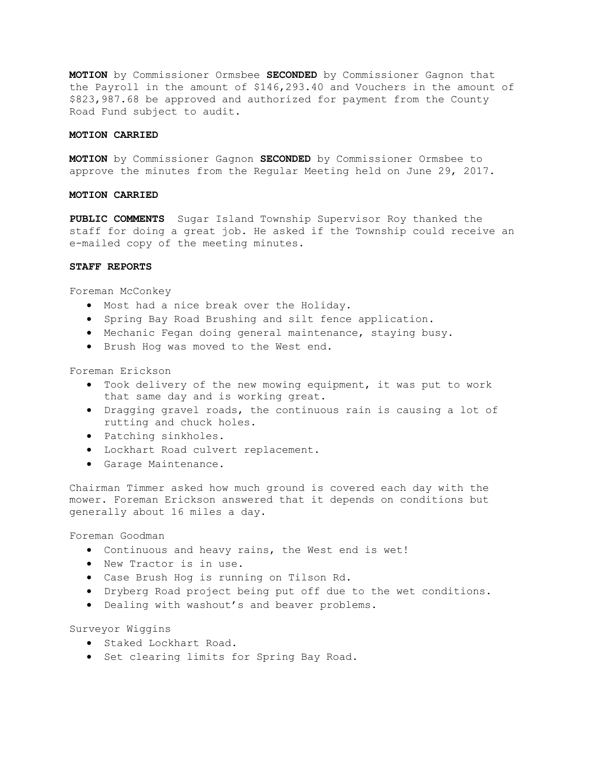**MOTION** by Commissioner Ormsbee **SECONDED** by Commissioner Gagnon that the Payroll in the amount of \$146,293.40 and Vouchers in the amount of \$823,987.68 be approved and authorized for payment from the County Road Fund subject to audit.

#### **MOTION CARRIED**

**MOTION** by Commissioner Gagnon **SECONDED** by Commissioner Ormsbee to approve the minutes from the Regular Meeting held on June 29, 2017.

## **MOTION CARRIED**

**PUBLIC COMMENTS** Sugar Island Township Supervisor Roy thanked the staff for doing a great job. He asked if the Township could receive an e-mailed copy of the meeting minutes.

#### **STAFF REPORTS**

Foreman McConkey

- Most had a nice break over the Holiday.
- Spring Bay Road Brushing and silt fence application.
- Mechanic Fegan doing general maintenance, staying busy.
- Brush Hog was moved to the West end.

Foreman Erickson

- Took delivery of the new mowing equipment, it was put to work that same day and is working great.
- Dragging gravel roads, the continuous rain is causing a lot of rutting and chuck holes.
- Patching sinkholes.
- Lockhart Road culvert replacement.
- Garage Maintenance.

Chairman Timmer asked how much ground is covered each day with the mower. Foreman Erickson answered that it depends on conditions but generally about 16 miles a day.

Foreman Goodman

- Continuous and heavy rains, the West end is wet!
- New Tractor is in use.
- Case Brush Hog is running on Tilson Rd.
- Dryberg Road project being put off due to the wet conditions.
- Dealing with washout's and beaver problems.

Surveyor Wiggins

- Staked Lockhart Road.
- Set clearing limits for Spring Bay Road.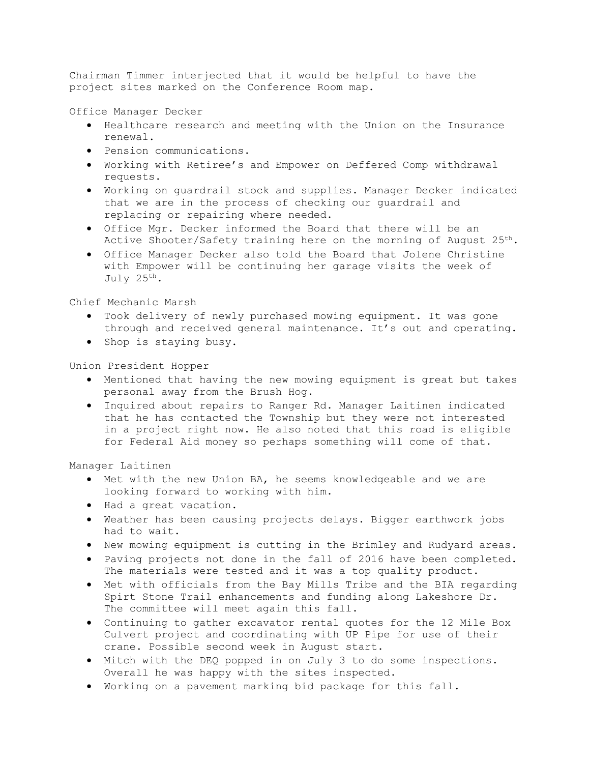Chairman Timmer interjected that it would be helpful to have the project sites marked on the Conference Room map.

Office Manager Decker

- Healthcare research and meeting with the Union on the Insurance renewal.
- Pension communications.
- Working with Retiree's and Empower on Deffered Comp withdrawal requests.
- Working on guardrail stock and supplies. Manager Decker indicated that we are in the process of checking our guardrail and replacing or repairing where needed.
- Office Mgr. Decker informed the Board that there will be an Active Shooter/Safety training here on the morning of August  $25<sup>th</sup>$ .
- Office Manager Decker also told the Board that Jolene Christine with Empower will be continuing her garage visits the week of July 25th.

Chief Mechanic Marsh

- Took delivery of newly purchased mowing equipment. It was gone through and received general maintenance. It's out and operating.
- Shop is staying busy.

Union President Hopper

- Mentioned that having the new mowing equipment is great but takes personal away from the Brush Hog.
- Inquired about repairs to Ranger Rd. Manager Laitinen indicated that he has contacted the Township but they were not interested in a project right now. He also noted that this road is eligible for Federal Aid money so perhaps something will come of that.

Manager Laitinen

- Met with the new Union BA, he seems knowledgeable and we are looking forward to working with him.
- Had a great vacation.
- Weather has been causing projects delays. Bigger earthwork jobs had to wait.
- New mowing equipment is cutting in the Brimley and Rudyard areas.
- Paving projects not done in the fall of 2016 have been completed. The materials were tested and it was a top quality product.
- Met with officials from the Bay Mills Tribe and the BIA regarding Spirt Stone Trail enhancements and funding along Lakeshore Dr. The committee will meet again this fall.
- Continuing to gather excavator rental quotes for the 12 Mile Box Culvert project and coordinating with UP Pipe for use of their crane. Possible second week in August start.
- Mitch with the DEQ popped in on July 3 to do some inspections. Overall he was happy with the sites inspected.
- Working on a pavement marking bid package for this fall.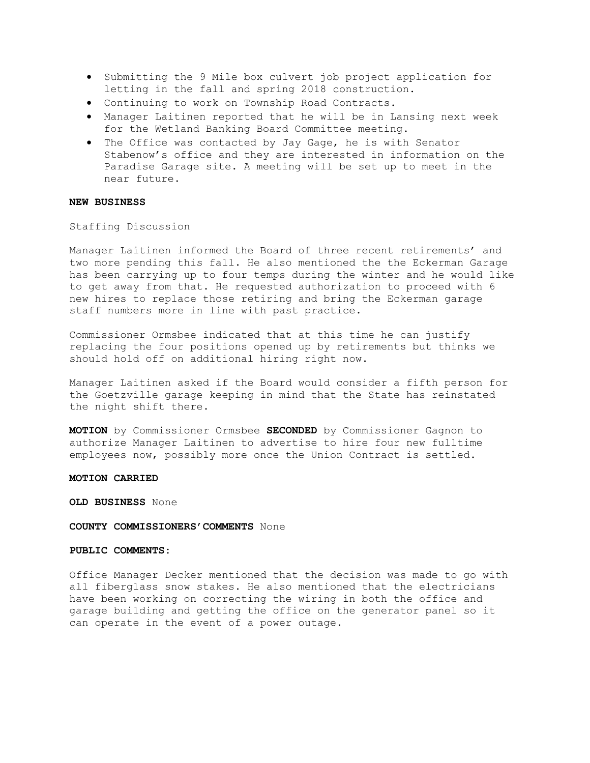- Submitting the 9 Mile box culvert job project application for letting in the fall and spring 2018 construction.
- Continuing to work on Township Road Contracts.
- Manager Laitinen reported that he will be in Lansing next week for the Wetland Banking Board Committee meeting.
- The Office was contacted by Jay Gage, he is with Senator Stabenow's office and they are interested in information on the Paradise Garage site. A meeting will be set up to meet in the near future.

## **NEW BUSINESS**

Staffing Discussion

Manager Laitinen informed the Board of three recent retirements' and two more pending this fall. He also mentioned the the Eckerman Garage has been carrying up to four temps during the winter and he would like to get away from that. He requested authorization to proceed with 6 new hires to replace those retiring and bring the Eckerman garage staff numbers more in line with past practice.

Commissioner Ormsbee indicated that at this time he can justify replacing the four positions opened up by retirements but thinks we should hold off on additional hiring right now.

Manager Laitinen asked if the Board would consider a fifth person for the Goetzville garage keeping in mind that the State has reinstated the night shift there.

**MOTION** by Commissioner Ormsbee **SECONDED** by Commissioner Gagnon to authorize Manager Laitinen to advertise to hire four new fulltime employees now, possibly more once the Union Contract is settled.

#### **MOTION CARRIED**

**OLD BUSINESS** None

### **COUNTY COMMISSIONERS'COMMENTS** None

## **PUBLIC COMMENTS:**

Office Manager Decker mentioned that the decision was made to go with all fiberglass snow stakes. He also mentioned that the electricians have been working on correcting the wiring in both the office and garage building and getting the office on the generator panel so it can operate in the event of a power outage.